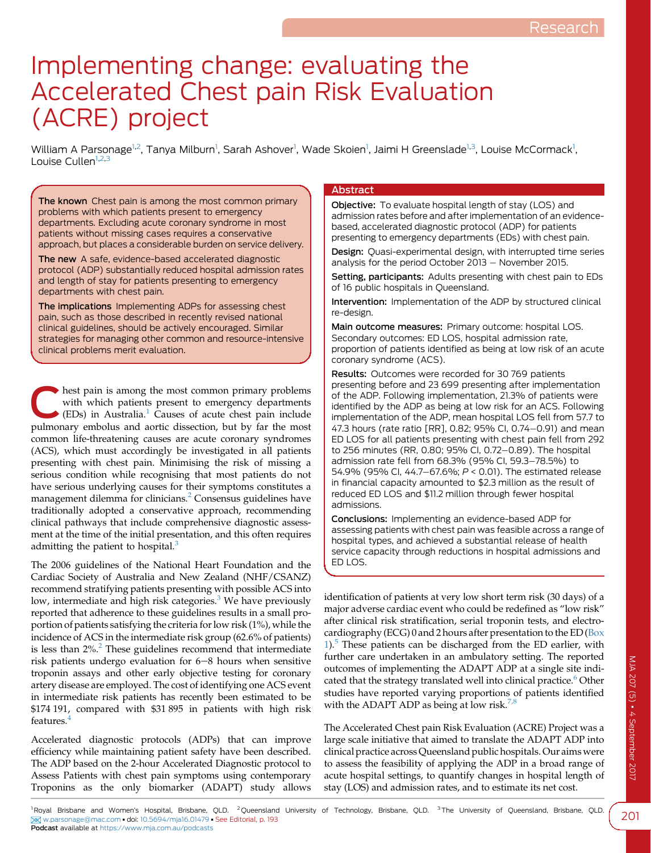# Implementing change: evaluating the Accelerated Chest pain Risk Evaluation (ACRE) project

William A Parsonage<sup>1,2</sup>, Tanya Milburn<sup>1</sup>, Sarah Ashover<sup>1</sup>, Wade Skoien<sup>1</sup>, Jaimi H Greenslade<sup>1,3</sup>, Louise McCormack<sup>1</sup>, Louise Cullen<sup>1,2,3</sup>

The known Chest pain is among the most common primary problems with which patients present to emergency departments. Excluding acute coronary syndrome in most patients without missing cases requires a conservative approach, but places a considerable burden on service delivery.

The new A safe, evidence-based accelerated diagnostic protocol (ADP) substantially reduced hospital admission rates and length of stay for patients presenting to emergency departments with chest pain.

The implications Implementing ADPs for assessing chest pain, such as those described in recently revised national clinical guidelines, should be actively encouraged. Similar strategies for managing other common and resource-intensive clinical problems merit evaluation.

Thest pain is among the most common primary problems<br>
with which patients present to emergency departments<br>
(EDs) in Australia.<sup>[1](#page-4-0)</sup> Causes of acute chest pain include<br>
mulmonomy embolys embolication by by the monod with which patients present to emergency departments pulmonary embolus and aortic dissection, but by far the most common life-threatening causes are acute coronary syndromes (ACS), which must accordingly be investigated in all patients presenting with chest pain. Minimising the risk of missing a serious condition while recognising that most patients do not have serious underlying causes for their symptoms constitutes a management dilemma for clinicians.<sup>[2](#page-4-0)</sup> Consensus guidelines have traditionally adopted a conservative approach, recommending clinical pathways that include comprehensive diagnostic assessment at the time of the initial presentation, and this often requires admitting the patient to hospital. $3$ 

The 2006 guidelines of the National Heart Foundation and the Cardiac Society of Australia and New Zealand (NHF/CSANZ) recommend stratifying patients presenting with possible ACS into low, intermediate and high risk categories.<sup>[3](#page-4-0)</sup> We have previously reported that adherence to these guidelines results in a small proportion of patients satisfying the criteria for low risk (1%), while the incidence of ACS in the intermediate risk group (62.6% of patients) is less than  $2\%$  $2\%$ <sup>2</sup>. These guidelines recommend that intermediate risk patients undergo evaluation for  $6-8$  hours when sensitive troponin assays and other early objective testing for coronary artery disease are employed. The cost of identifying one ACS event in intermediate risk patients has recently been estimated to be \$174 191, compared with \$31 895 in patients with high risk features.[4](#page-4-0)

Accelerated diagnostic protocols (ADPs) that can improve efficiency while maintaining patient safety have been described. The ADP based on the 2-hour Accelerated Diagnostic protocol to Assess Patients with chest pain symptoms using contemporary Troponins as the only biomarker (ADAPT) study allows

#### Abstract

Objective: To evaluate hospital length of stay (LOS) and admission rates before and after implementation of an evidencebased, accelerated diagnostic protocol (ADP) for patients presenting to emergency departments (EDs) with chest pain.

Design: Quasi-experimental design, with interrupted time series analysis for the period October  $2013$  – November 2015.

Setting, participants: Adults presenting with chest pain to EDs of 16 public hospitals in Queensland.

Intervention: Implementation of the ADP by structured clinical re-design.

Main outcome measures: Primary outcome: hospital LOS. Secondary outcomes: ED LOS, hospital admission rate, proportion of patients identified as being at low risk of an acute coronary syndrome (ACS).

Results: Outcomes were recorded for 30 769 patients presenting before and 23 699 presenting after implementation of the ADP. Following implementation, 21.3% of patients were identified by the ADP as being at low risk for an ACS. Following implementation of the ADP, mean hospital LOS fell from 57.7 to 47.3 hours (rate ratio [RR], 0.82; 95% CI, 0.74–0.91) and mean ED LOS for all patients presenting with chest pain fell from 292 to 256 minutes (RR, 0.80; 95% CI, 0.72-0.89). The hospital admission rate fell from 68.3% (95% CI, 59.3-78.5%) to 54.9% (95% CI, 44.7–67.6%;  $P < 0.01$ ). The estimated release in financial capacity amounted to \$2.3 million as the result of reduced ED LOS and \$11.2 million through fewer hospital admissions.

Conclusions: Implementing an evidence-based ADP for assessing patients with chest pain was feasible across a range of hospital types, and achieved a substantial release of health service capacity through reductions in hospital admissions and ED LOS.

identification of patients at very low short term risk (30 days) of a major adverse cardiac event who could be redefined as "low risk" after clinical risk stratification, serial troponin tests, and electrocardiography (ECG) 0 and 2 hours after presentation to the ED ( $Box$ )  $1$ <sup>[5](#page-4-0)</sup>. These patients can be discharged from the ED earlier, with further care undertaken in an ambulatory setting. The reported outcomes of implementing the ADAPT ADP at a single site indi-cated that the strategy translated well into clinical practice.<sup>[6](#page-4-0)</sup> Other studies have reported varying proportions of patients identified with the ADAPT ADP as being at low risk.<sup>[7,8](#page-4-0)</sup>

The Accelerated Chest pain Risk Evaluation (ACRE) Project was a large scale initiative that aimed to translate the ADAPT ADP into clinical practice across Queensland public hospitals. Our aims were to assess the feasibility of applying the ADP in a broad range of acute hospital settings, to quantify changes in hospital length of stay (LOS) and admission rates, and to estimate its net cost.

<sup>1</sup> Royal Brisbane and Women's Hospital, Brisbane, QLD. <sup>2</sup> Queensland University of Technology, Brisbane, QLD. <sup>3</sup> The University of Queensland, Brisbane, QLD [w.parsonage@mac.com](mailto:w.parsonage@mac.com) - doi: [10.5694/mja16.01479](http://dx.doi.org/10.5694/mja16.01479) - See Editorial, p. 193 Podcast available at <https://www.mja.com.au/podcasts>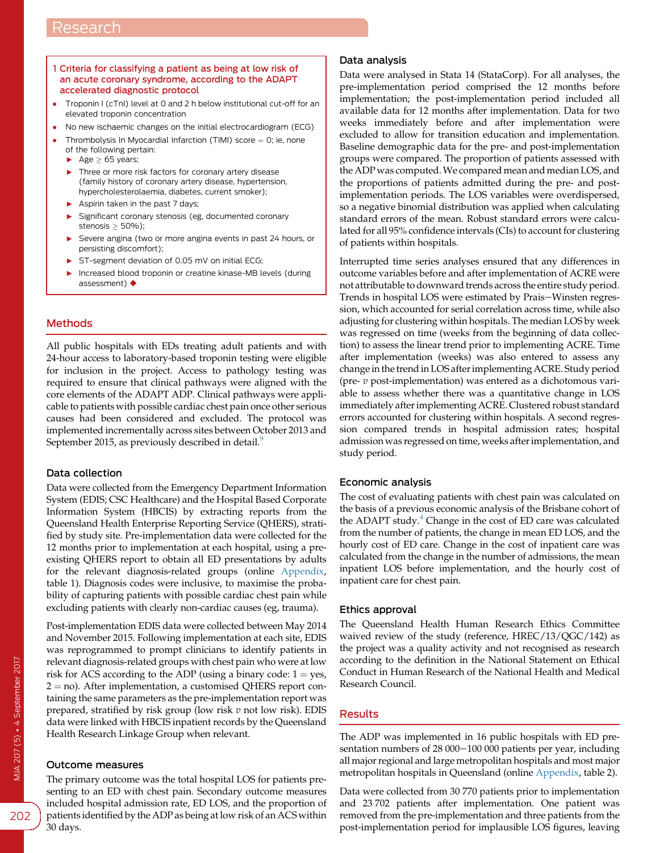#### <span id="page-1-0"></span>1 Criteria for classifying a patient as being at low risk of an acute coronary syndrome, according to the ADAPT accelerated diagnostic protocol

- - Troponin I (cTnI) level at 0 and 2 h below institutional cut-off for an elevated troponin concentration
- -No new ischaemic changes on the initial electrocardiogram (ECG)
- -Thrombolysis In Myocardial Infarction (TIMI) score  $= 0$ ; ie, none of the following pertain:
	- Age  $\geq$  65 years;
	- $\blacktriangleright$  Three or more risk factors for coronary artery disease (family history of coronary artery disease, hypertension, hypercholesterolaemia, diabetes, current smoker);
	- $\blacktriangleright$  Aspirin taken in the past 7 days;
	- Significant coronary stenosis (eg, documented coronary stenosis  $\geq 50\%$ );
	- Severe angina (two or more angina events in past 24 hours, or persisting discomfort);
	- ST-segment deviation of 0.05 mV on initial ECG;
	- < Increased blood troponin or creatine kinase-MB levels (during assessment)  $\blacklozenge$

# Methods

All public hospitals with EDs treating adult patients and with 24-hour access to laboratory-based troponin testing were eligible for inclusion in the project. Access to pathology testing was required to ensure that clinical pathways were aligned with the core elements of the ADAPT ADP. Clinical pathways were applicable to patients with possible cardiac chest pain once other serious causes had been considered and excluded. The protocol was implemented incrementally across sites between October 2013 and September 2015, as previously described in detail.<sup>[9](#page-4-0)</sup>

# Data collection

Data were collected from the Emergency Department Information System (EDIS; CSC Healthcare) and the Hospital Based Corporate Information System (HBCIS) by extracting reports from the Queensland Health Enterprise Reporting Service (QHERS), stratified by study site. Pre-implementation data were collected for the 12 months prior to implementation at each hospital, using a preexisting QHERS report to obtain all ED presentations by adults for the relevant diagnosis-related groups (online [Appendix,](https://www.mja.com.au/sites/default/files/issues/207_05/10.5694mja16.01479_Appendix.pdf) table 1). Diagnosis codes were inclusive, to maximise the probability of capturing patients with possible cardiac chest pain while excluding patients with clearly non-cardiac causes (eg, trauma).

Post-implementation EDIS data were collected between May 2014 and November 2015. Following implementation at each site, EDIS was reprogrammed to prompt clinicians to identify patients in relevant diagnosis-related groups with chest pain who were at low risk for ACS according to the ADP (using a binary code:  $1 = yes$ ,  $2 =$  no). After implementation, a customised QHERS report containing the same parameters as the pre-implementation report was prepared, stratified by risk group (low risk  $v$  not low risk). EDIS data were linked with HBCIS inpatient records by the Queensland Health Research Linkage Group when relevant.

## Outcome measures

The primary outcome was the total hospital LOS for patients presenting to an ED with chest pain. Secondary outcome measures included hospital admission rate, ED LOS, and the proportion of patients identified by the ADP as being at low risk of an ACS within 30 days.

## Data analysis

Data were analysed in Stata 14 (StataCorp). For all analyses, the pre-implementation period comprised the 12 months before implementation; the post-implementation period included all available data for 12 months after implementation. Data for two weeks immediately before and after implementation were excluded to allow for transition education and implementation. Baseline demographic data for the pre- and post-implementation groups were compared. The proportion of patients assessed with the ADP was computed.We compared mean and median LOS, and the proportions of patients admitted during the pre- and postimplementation periods. The LOS variables were overdispersed, so a negative binomial distribution was applied when calculating standard errors of the mean. Robust standard errors were calculated for all 95% confidence intervals (CIs) to account for clustering of patients within hospitals.

Interrupted time series analyses ensured that any differences in outcome variables before and after implementation of ACRE were not attributable to downward trends across the entire study period. Trends in hospital LOS were estimated by Prais-Winsten regression, which accounted for serial correlation across time, while also adjusting for clustering within hospitals. The median LOS by week was regressed on time (weeks from the beginning of data collection) to assess the linear trend prior to implementing ACRE. Time after implementation (weeks) was also entered to assess any change in the trend in LOS after implementing ACRE. Study period (pre- v post-implementation) was entered as a dichotomous variable to assess whether there was a quantitative change in LOS immediately after implementing ACRE. Clustered robust standard errors accounted for clustering within hospitals. A second regression compared trends in hospital admission rates; hospital admission was regressed on time, weeks after implementation, and study period.

# Economic analysis

The cost of evaluating patients with chest pain was calculated on the basis of a previous economic analysis of the Brisbane cohort of the ADAPT study. $4$  Change in the cost of ED care was calculated from the number of patients, the change in mean ED LOS, and the hourly cost of ED care. Change in the cost of inpatient care was calculated from the change in the number of admissions, the mean inpatient LOS before implementation, and the hourly cost of inpatient care for chest pain.

## Ethics approval

The Queensland Health Human Research Ethics Committee waived review of the study (reference, HREC/13/QGC/142) as the project was a quality activity and not recognised as research according to the definition in the National Statement on Ethical Conduct in Human Research of the National Health and Medical Research Council.

# Results

The ADP was implemented in 16 public hospitals with ED presentation numbers of 28 000-100 000 patients per year, including all major regional and large metropolitan hospitals and most major metropolitan hospitals in Queensland (online [Appendix,](https://www.mja.com.au/sites/default/files/issues/207_05/10.5694mja16.01479_Appendix.pdf) table 2).

Data were collected from 30 770 patients prior to implementation and 23 702 patients after implementation. One patient was removed from the pre-implementation and three patients from the post-implementation period for implausible LOS figures, leaving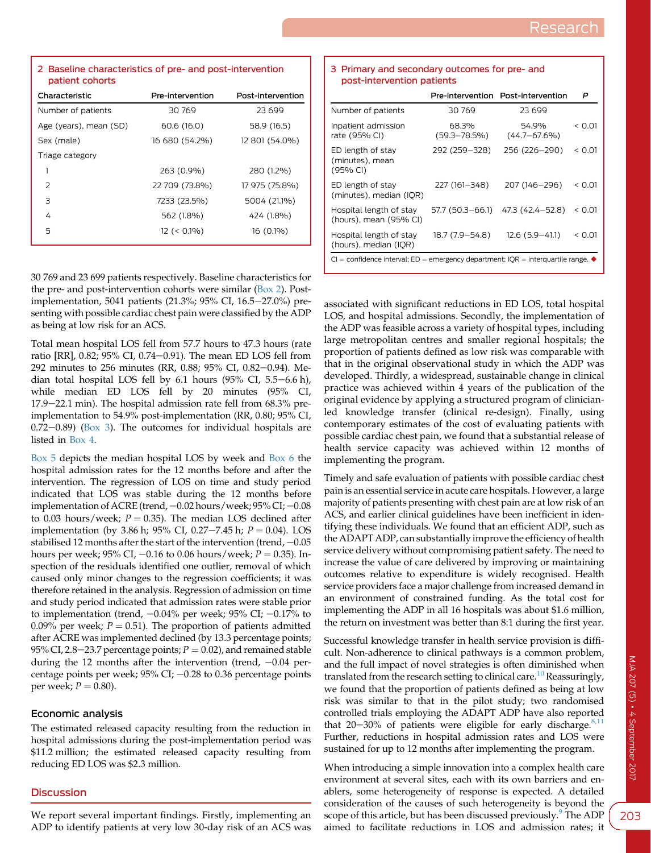## 2 Baseline characteristics of pre- and post-intervention patient cohorts

| Characteristic         | Pre-intervention | Post-intervention |  |
|------------------------|------------------|-------------------|--|
| Number of patients     | 30769            | 23 699            |  |
| Age (years), mean (SD) | 60.6 (16.0)      | 58.9 (16.5)       |  |
| Sex (male)             | 16 680 (54.2%)   | 12 801 (54.0%)    |  |
| Triage category        |                  |                   |  |
|                        | 263 (0.9%)       | 280 (1.2%)        |  |
| $\mathcal{L}$          | 22 709 (73.8%)   | 17 975 (75.8%)    |  |
| 3                      | 7233 (23.5%)     | 5004 (21.1%)      |  |
| 4                      | 562 (1.8%)       | 424 (1.8%)        |  |
| 5                      | $12 (< 0.1\%)$   | $16(0.1\%)$       |  |
|                        |                  |                   |  |

30 769 and 23 699 patients respectively. Baseline characteristics for the pre- and post-intervention cohorts were similar (Box 2). Postimplementation, 5041 patients (21.3%; 95% CI, 16.5 $-27.0%$ ) presenting with possible cardiac chest pain were classified by the ADP as being at low risk for an ACS.

Total mean hospital LOS fell from 57.7 hours to 47.3 hours (rate ratio [RR], 0.82; 95% CI, 0.74-0.91). The mean ED LOS fell from 292 minutes to 256 minutes (RR, 0.88; 95% CI, 0.82-0.94). Median total hospital LOS fell by  $6.1$  hours (95% CI,  $5.5-6.6$  h), while median ED LOS fell by 20 minutes (95% CI,  $17.9-22.1$  min). The hospital admission rate fell from  $68.3\%$  preimplementation to 54.9% post-implementation (RR, 0.80; 95% CI,  $0.72-0.89$ ) (Box 3). The outcomes for individual hospitals are listed in [Box 4](#page-3-0).

[Box 5](#page-3-0) depicts the median hospital LOS by week and [Box 6](#page-3-0) the hospital admission rates for the 12 months before and after the intervention. The regression of LOS on time and study period indicated that LOS was stable during the 12 months before implementation of ACRE (trend,  $-0.02$  hours/week;  $95\%$  CI;  $-0.08$ to 0.03 hours/week;  $P = 0.35$ ). The median LOS declined after implementation (by 3.86 h; 95% CI, 0.27–7.45 h;  $P = 0.04$ ). LOS stabilised 12 months after the start of the intervention (trend,  $-0.05$ hours per week; 95% CI,  $-0.16$  to 0.06 hours/week;  $P = 0.35$ ). Inspection of the residuals identified one outlier, removal of which caused only minor changes to the regression coefficients; it was therefore retained in the analysis. Regression of admission on time and study period indicated that admission rates were stable prior to implementation (trend,  $-0.04\%$  per week; 95% CI;  $-0.17\%$  to 0.09% per week;  $P = 0.51$ ). The proportion of patients admitted after ACRE was implemented declined (by 13.3 percentage points; 95% CI, 2.8–23.7 percentage points;  $P = 0.02$ ), and remained stable during the 12 months after the intervention (trend,  $-0.04$  percentage points per week;  $95\%$  CI;  $-0.28$  to 0.36 percentage points per week;  $P = 0.80$ ).

## Economic analysis

The estimated released capacity resulting from the reduction in hospital admissions during the post-implementation period was \$11.2 million; the estimated released capacity resulting from reducing ED LOS was \$2.3 million.

# **Discussion**

We report several important findings. Firstly, implementing an ADP to identify patients at very low 30-day risk of an ACS was

#### 3 Primary and secondary outcomes for pre- and post-intervention patients

|                                                                                                   |                           | Pre-intervention Post-intervention | P        |  |  |
|---------------------------------------------------------------------------------------------------|---------------------------|------------------------------------|----------|--|--|
| Number of patients                                                                                | 30769                     | 23 699                             |          |  |  |
| Inpatient admission<br>rate (95% CI)                                                              | 68.3%<br>$(59.3 - 78.5%)$ | 54.9%<br>$(44.7 - 67.6%)$          | < 0.01   |  |  |
| ED length of stay<br>(minutes), mean<br>(95% CI)                                                  | 292 (259-328)             | 256 (226-290)                      | $<$ 0.01 |  |  |
| ED length of stay<br>(minutes), median (IQR)                                                      | 227 (161-348)             | 207 (146-296)                      | < 0.01   |  |  |
| Hospital length of stay<br>(hours), mean (95% CI)                                                 | 57.7 (50.3-66.1)          | 47.3 (42.4–52.8)                   | < 0.01   |  |  |
| Hospital length of stay<br>(hours), median (IQR)                                                  | 18.7 (7.9–54.8)           | $12.6(5.9-41.1)$                   | < 0.01   |  |  |
| $Cl =$ confidence interval; ED = emergency department; IQR = interguartile range. $\blacklozenge$ |                           |                                    |          |  |  |

associated with significant reductions in ED LOS, total hospital LOS, and hospital admissions. Secondly, the implementation of the ADP was feasible across a variety of hospital types, including large metropolitan centres and smaller regional hospitals; the proportion of patients defined as low risk was comparable with that in the original observational study in which the ADP was developed. Thirdly, a widespread, sustainable change in clinical practice was achieved within 4 years of the publication of the original evidence by applying a structured program of clinicianled knowledge transfer (clinical re-design). Finally, using contemporary estimates of the cost of evaluating patients with possible cardiac chest pain, we found that a substantial release of health service capacity was achieved within 12 months of implementing the program.

Timely and safe evaluation of patients with possible cardiac chest pain is an essential service in acute care hospitals. However, a large majority of patients presenting with chest pain are at low risk of an ACS, and earlier clinical guidelines have been inefficient in identifying these individuals. We found that an efficient ADP, such as the ADAPT ADP, can substantially improve the efficiency of health service delivery without compromising patient safety. The need to increase the value of care delivered by improving or maintaining outcomes relative to expenditure is widely recognised. Health service providers face a major challenge from increased demand in an environment of constrained funding. As the total cost for implementing the ADP in all 16 hospitals was about \$1.6 million, the return on investment was better than 8:1 during the first year.

Successful knowledge transfer in health service provision is difficult. Non-adherence to clinical pathways is a common problem, and the full impact of novel strategies is often diminished when translated from the research setting to clinical care.<sup>[10](#page-4-0)</sup> Reassuringly, we found that the proportion of patients defined as being at low risk was similar to that in the pilot study; two randomised controlled trials employing the ADAPT ADP have also reported that 20-30% of patients were eligible for early discharge. $8,11$ Further, reductions in hospital admission rates and LOS were sustained for up to 12 months after implementing the program.

When introducing a simple innovation into a complex health care environment at several sites, each with its own barriers and enablers, some heterogeneity of response is expected. A detailed consideration of the causes of such heterogeneity is beyond the scope of this article, but has been discussed previously.<sup>[9](#page-4-0)</sup> The ADP aimed to facilitate reductions in LOS and admission rates; it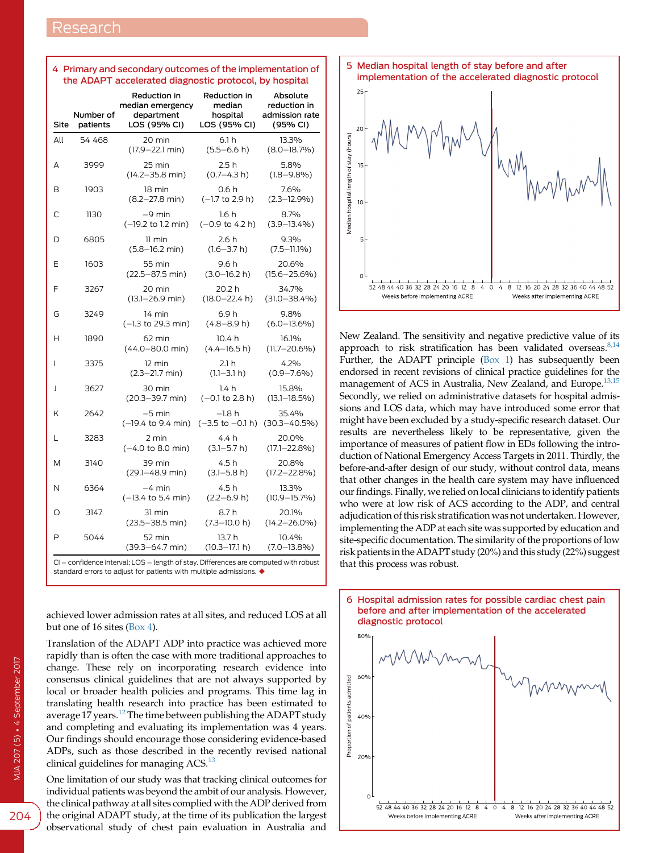<span id="page-3-0"></span>

| 4 Primary and secondary outcomes of the implementation of |                                                        |  |  |
|-----------------------------------------------------------|--------------------------------------------------------|--|--|
|                                                           | the ADAPT accelerated diagnostic protocol, by hospital |  |  |

| Site | Number of<br>patients | Reduction in<br>median emergency<br>department<br>LOS (95% CI) | Reduction in<br>median<br>hospital<br>LOS (95% CI) | Absolute<br>reduction in<br>admission rate<br>(95% CI) |
|------|-----------------------|----------------------------------------------------------------|----------------------------------------------------|--------------------------------------------------------|
| All  | 54 468                | 20 min<br>$(17.9 - 22.1 \text{ min})$                          | 6.1 h<br>$(5.5 - 6.6 h)$                           | 13.3%<br>$(8.0 - 18.7%)$                               |
| А    | 3999                  | 25 min<br>(14.2-35.8 min)                                      | 2.5 h<br>$(0.7 - 4.3 h)$                           | 5.8%<br>$(1.8 - 9.8\%)$                                |
| в    | 1903                  | 18 min<br>$(8.2 - 27.8 \text{ min})$                           | 0.6 <sub>h</sub><br>(-1.7 to 2.9 h)                | 7.6%<br>$(2.3 - 12.9\%)$                               |
| С    | 1130                  | $-9$ min<br>(-19.2 to 1.2 min)                                 | 1.6h<br>(-0.9 to 4.2 h)                            | 8.7%<br>$(3.9 - 13.4\%)$                               |
| D    | 6805                  | 11 min<br>$(5.8 - 16.2 \text{ min})$                           | 2.6h<br>$(1.6 - 3.7 h)$                            | 9.3%<br>$(7.5 - 11.1\%)$                               |
| E    | 1603                  | 55 min<br>$(22.5 - 87.5 \text{ min})$                          | 9.6h<br>$(3.0 - 16.2 h)$                           | 20.6%<br>$(15.6 - 25.6%)$                              |
| F    | 3267                  | 20 min<br>$(13.1 - 26.9 \text{ min})$                          | 20.2 h<br>$(18.0 - 22.4 h)$                        | 34.7%<br>$(31.0 - 38.4\%)$                             |
| G    | 3249                  | 14 min<br>(-1.3 to 29.3 min)                                   | 6.9h<br>$(4.8 - 8.9)$ h)                           | 9.8%<br>$(6.0 - 13.6%)$                                |
| н    | 1890                  | 62 min<br>(44.0-80.0 min)                                      | 10.4 h<br>$(4.4 - 16.5 h)$                         | 16.1%<br>$(11.7 - 20.6%)$                              |
| L    | 3375                  | 12 min<br>$(2.3 - 21.7 \text{ min})$                           | 2.1h<br>$(1.1 - 3.1 h)$                            | 4.2%<br>$(0.9 - 7.6\%)$                                |
| J    | 3627                  | 30 min<br>(20.3-39.7 min)                                      | 1.4h<br>$(-0.1 to 2.8 h)$                          | 15.8%<br>$(13.1 - 18.5%)$                              |
| Κ    | 2642                  | $-5$ min<br>(-19.4 to 9.4 min)                                 | $-1.8h$<br>(-3.5 to -0.1 h)                        | 35.4%<br>$(30.3 - 40.5%)$                              |
| L    | 3283                  | 2 min<br>$(-4.0 \text{ to } 8.0 \text{ min})$                  | 4.4h<br>$(3.1 - 5.7 h)$                            | 20.0%<br>$(17.1 - 22.8\%)$                             |
| M    | 3140                  | 39 min<br>(29.1-48.9 min)                                      | 4.5h<br>$(3.1 - 5.8 h)$                            | 20.8%<br>$(17.2 - 22.8%)$                              |
| N    | 6364                  | $-4$ min<br>(-13.4 to 5.4 min)                                 | 4.5h<br>$(2.2 - 6.9 h)$                            | 13.3%<br>$(10.9 - 15.7%)$                              |
| O    | 3147                  | 31 min<br>$(23.5 - 38.5$ min)                                  | 8.7h<br>$(7.3 - 10.0 h)$                           | 20.1%<br>$(14.2 - 26.0\%)$                             |
| P    | 5044                  | 52 min<br>$(39.3 - 64.7 \text{ min})$                          | 13.7 <sub>h</sub><br>$(10.3 - 17.1 h)$             | 10.4%<br>$(7.0 - 13.8\%)$                              |

 $Cl =$  confidence interval; LOS = length of stay. Differences are computed with robust standard errors to adjust for patients with multiple admissions.  $\blacklozenge$ 

achieved lower admission rates at all sites, and reduced LOS at all but one of 16 sites (Box 4).

Translation of the ADAPT ADP into practice was achieved more rapidly than is often the case with more traditional approaches to change. These rely on incorporating research evidence into consensus clinical guidelines that are not always supported by local or broader health policies and programs. This time lag in translating health research into practice has been estimated to average  $17$  years.<sup>[12](#page-4-0)</sup> The time between publishing the ADAPT study and completing and evaluating its implementation was 4 years. Our findings should encourage those considering evidence-based ADPs, such as those described in the recently revised national clinical guidelines for managing ACS.<sup>[13](#page-4-0)</sup>

One limitation of our study was that tracking clinical outcomes for individual patients was beyond the ambit of our analysis. However, the clinical pathway at all sites complied with the ADP derived from the original ADAPT study, at the time of its publication the largest observational study of chest pain evaluation in Australia and



New Zealand. The sensitivity and negative predictive value of its approach to risk stratification has been validated overseas. $8,14$ Further, the ADAPT principle [\(Box 1](#page-1-0)) has subsequently been endorsed in recent revisions of clinical practice guidelines for the management of ACS in Australia, New Zealand, and Europe.<sup>13,15</sup> Secondly, we relied on administrative datasets for hospital admissions and LOS data, which may have introduced some error that might have been excluded by a study-specific research dataset. Our results are nevertheless likely to be representative, given the importance of measures of patient flow in EDs following the introduction of National Emergency Access Targets in 2011. Thirdly, the before-and-after design of our study, without control data, means that other changes in the health care system may have influenced our findings. Finally, we relied on local clinicians to identify patients who were at low risk of ACS according to the ADP, and central adjudication of this risk stratification was not undertaken. However, implementing the ADP at each site was supported by education and site-specific documentation. The similarity of the proportions of low risk patients in the ADAPT study (20%) and this study (22%) suggest that this process was robust.